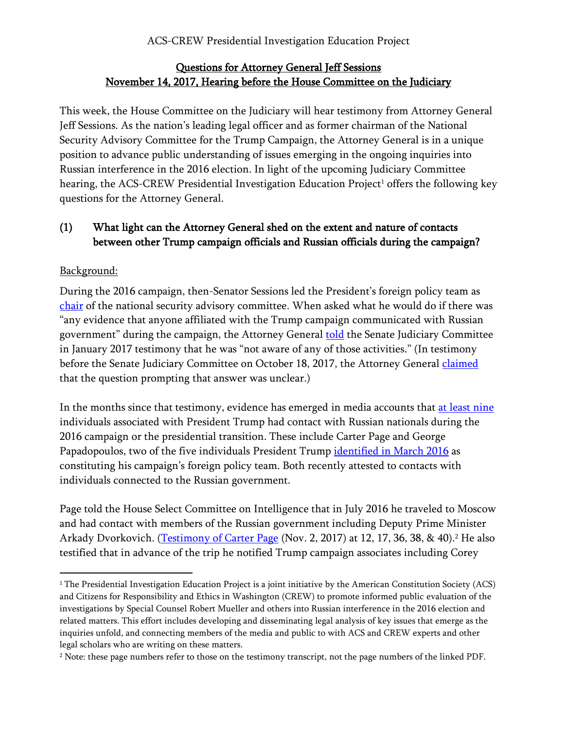## Questions for Attorney General Jeff Sessions November 14, 2017, Hearing before the House Committee on the Judiciary

This week, the House Committee on the Judiciary will hear testimony from Attorney General Jeff Sessions. As the nation's leading legal officer and as former chairman of the National Security Advisory Committee for the Trump Campaign, the Attorney General is in a unique position to advance public understanding of issues emerging in the ongoing inquiries into Russian interference in the 2016 election. In light of the upcoming Judiciary Committee hearing, the ACS-CREW Presidential Investigation Education Project<sup>1</sup> offers the following key questions for the Attorney General.

# (1) What light can the Attorney General shed on the extent and nature of contacts between other Trump campaign officials and Russian officials during the campaign?

# Background:

 $\overline{a}$ 

During the 2016 campaign, then-Senator Sessions led the President's foreign policy team as [chair](https://www.politico.com/blogs/2016-gop-primary-live-updates-and-results/2016/03/donald-trump-jeff-sessions-chairman-of-national-security-committee-220220) of the national security advisory committee. When asked what he would do if there was "any evidence that anyone affiliated with the Trump campaign communicated with Russian government" during the campaign, the Attorney General [told](https://www.washingtonpost.com/news/fact-checker/wp/2017/11/01/for-the-record-sessions-on-contacts-between-trump-campaign-and-russians/?utm_term=.091bf07c3385) the Senate Judiciary Committee in January 2017 testimony that he was "not aware of any of those activities." (In testimony before the Senate Judiciary Committee on October 18, 2017, the Attorney General [claimed](https://www.washingtonpost.com/news/the-fix/wp/2017/10/18/give-me-a-break-sessions-gets-heated-with-franken-over-his-shifting-russia-denials/?utm_term=.d6b2b3aaa5fd) that the question prompting that answer was unclear.)

In the months since that testimony, evidence has emerged in media accounts that [at least nine](https://www.washingtonpost.com/politics/at-least-nine-people-in-trumps-orbit-had-contact-with-russians-during-campaign-and-transition/2017/11/05/07c9993c-bf4c-11e7-959c-fe2b598d8c00_story.html?utm_term=.cc4762f171cc) individuals associated with President Trump had contact with Russian nationals during the 2016 campaign or the presidential transition. These include Carter Page and George Papadopoulos, two of the five individuals President Trump [identified in March 2016](https://www.washingtonpost.com/news/checkpoint/wp/2016/03/21/meet-the-men-shaping-donald-trumps-foreign-policy-views/?utm_term=.db5a357630e1) as constituting his campaign's foreign policy team. Both recently attested to contacts with individuals connected to the Russian government.

Page told the House Select Committee on Intelligence that in July 2016 he traveled to Moscow and had contact with members of the Russian government including Deputy Prime Minister Arkady Dvorkovich. [\(Testimony of Carter Page](https://intelligence.house.gov/uploadedfiles/carter_page_hpsci_hearing_transcript_nov_2_2017.pdf) (Nov. 2, 2017) at 12, 17, 36, 38, & 40).<sup>2</sup> He also testified that in advance of the trip he notified Trump campaign associates including Corey

<sup>1</sup> The Presidential Investigation Education Project is a joint initiative by the American Constitution Society (ACS) and Citizens for Responsibility and Ethics in Washington (CREW) to promote informed public evaluation of the investigations by Special Counsel Robert Mueller and others into Russian interference in the 2016 election and related matters. This effort includes developing and disseminating legal analysis of key issues that emerge as the inquiries unfold, and connecting members of the media and public to with ACS and CREW experts and other legal scholars who are writing on these matters.

<sup>2</sup> Note: these page numbers refer to those on the testimony transcript, not the page numbers of the linked PDF.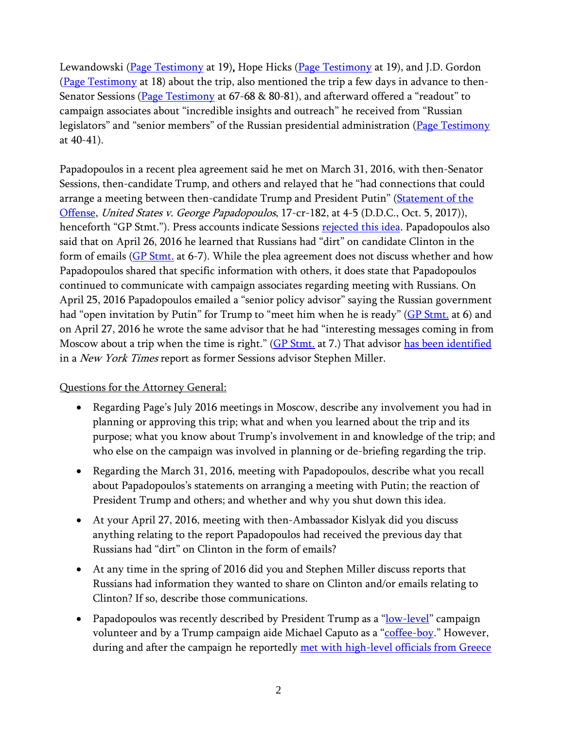Lewandowski [\(Page Testimony](https://intelligence.house.gov/uploadedfiles/carter_page_hpsci_hearing_transcript_nov_2_2017.pdf) at 19), Hope Hicks (Page Testimony at 19), and J.D. Gordon [\(Page Testimony](https://intelligence.house.gov/uploadedfiles/carter_page_hpsci_hearing_transcript_nov_2_2017.pdf) at 18) about the trip, also mentioned the trip a few days in advance to then-Senator Sessions [\(Page Testimony](https://intelligence.house.gov/uploadedfiles/carter_page_hpsci_hearing_transcript_nov_2_2017.pdf) at 67-68 & 80-81), and afterward offered a "readout" to campaign associates about "incredible insights and outreach" he received from "Russian legislators" and "senior members" of the Russian presidential administration [\(Page Testimony](https://intelligence.house.gov/uploadedfiles/carter_page_hpsci_hearing_transcript_nov_2_2017.pdf) at 40-41).

Papadopoulos in a recent plea agreement said he met on March 31, 2016, with then-Senator Sessions, then-candidate Trump, and others and relayed that he "had connections that could arrange a meeting between then-candidate Trump and President Putin" (Statement of the [Offense,](https://www.justice.gov/file/1007346/download) United States v. George Papadopoulos, 17-cr-182, at 4-5 (D.D.C., Oct. 5, 2017)), henceforth "GP Stmt."). Press accounts indicate Sessions rejected [this idea.](https://www.nbcnews.com/news/us-news/sessions-rejected-russian-proposal-campaign-adviser-source-says-n817001) Papadopoulos also said that on April 26, 2016 he learned that Russians had "dirt" on candidate Clinton in the form of emails [\(GP Stmt.](https://www.justice.gov/file/1007346/download) at 6-7). While the plea agreement does not discuss whether and how Papadopoulos shared that specific information with others, it does state that Papadopoulos continued to communicate with campaign associates regarding meeting with Russians. On April 25, 2016 Papadopoulos emailed a "senior policy advisor" saying the Russian government had "open invitation by Putin" for Trump to "meet him when he is ready" [\(GP Stmt.](https://www.justice.gov/file/1007346/download) at 6) and on April 27, 2016 he wrote the same advisor that he had "interesting messages coming in from Moscow about a trip when the time is right." [\(GP Stmt.](https://www.justice.gov/file/1007346/download) at 7.) That advisor [has been identified](http://thehill.com/homenews/administration/310253-former-sessions-aide-tapped-as-trump-senior-policy-aide) in a *New York Times* report as former Sessions advisor Stephen Miller.

- Regarding Page's July 2016 meetings in Moscow, describe any involvement you had in planning or approving this trip; what and when you learned about the trip and its purpose; what you know about Trump's involvement in and knowledge of the trip; and who else on the campaign was involved in planning or de-briefing regarding the trip.
- Regarding the March 31, 2016, meeting with Papadopoulos, describe what you recall about Papadopoulos's statements on arranging a meeting with Putin; the reaction of President Trump and others; and whether and why you shut down this idea.
- At your April 27, 2016, meeting with then-Ambassador Kislyak did you discuss anything relating to the report Papadopoulos had received the previous day that Russians had "dirt" on Clinton in the form of emails?
- At any time in the spring of 2016 did you and Stephen Miller discuss reports that Russians had information they wanted to share on Clinton and/or emails relating to Clinton? If so, describe those communications.
- Papadopoulos was recently described by President Trump as a "[low-level](https://twitter.com/realDonaldTrump/status/925335577217683456)" campaign volunteer and by a Trump campaign aide Michael Caputo as a "[coffee-boy.](http://www.cnn.com/2017/10/31/politics/caputo-papadopoulos-coffee-boy-cnntv/index.html)" However, during and after the campaign he reportedly met with [high-level officials from Greece](http://talkingpointsmemo.com/muckraker/george-papadopoulos-2016-timeline)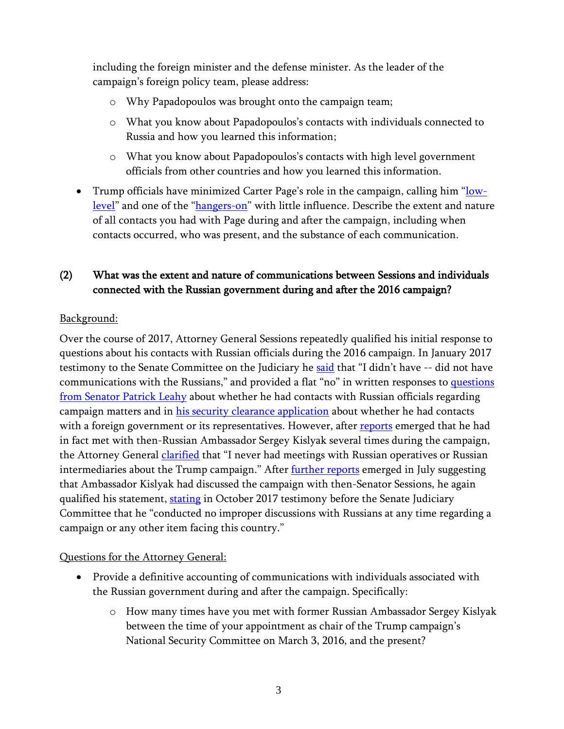including the foreign minister and the defense minister. As the leader of the campaign's foreign policy team, please address:

- o Why Papadopoulos was brought onto the campaign team;
- o What you know about Papadopoulos's contacts with individuals connected to Russia and how you learned this information;
- o What you know about Papadopoulos's contacts with high level government officials from other countries and how you learned this information.
- Trump officials have minimized Carter Page's role in the campaign, calling him "[low](https://www.nytimes.com/2017/01/11/us/politics/trump-press-conference-transcript.html)[level](https://www.nytimes.com/2017/01/11/us/politics/trump-press-conference-transcript.html)" and one of the "[hangers-on](https://www.politico.com/story/2017/03/sean-spicer-donald-trump-russia-fbi-236270)" with little influence. Describe the extent and nature of all contacts you had with Page during and after the campaign, including when contacts occurred, who was present, and the substance of each communication.

## (2) What was the extent and nature of communications between Sessions and individuals connected with the Russian government during and after the 2016 campaign?

#### Background:

Over the course of 2017, Attorney General Sessions repeatedly qualified his initial response to questions about his contacts with Russian officials during the 2016 campaign. In January 2017 testimony to the Senate Committee on the Judiciary he [said](https://www.washingtonpost.com/news/fact-checker/wp/2017/11/01/for-the-record-sessions-on-contacts-between-trump-campaign-and-russians/?utm_term=.091bf07c3385) that "I didn't have -- did not have communications with the Russians," and provided a flat "no" in written responses to [questions](https://www.judiciary.senate.gov/imo/media/doc/Sessions%20Responses%20to%20Leahy%20QFRs.pdf) [from Senator Patrick Leahy](https://www.judiciary.senate.gov/imo/media/doc/Sessions%20Responses%20to%20Leahy%20QFRs.pdf) about whether he had contacts with Russian officials regarding campaign matters and in [his security clearance application](http://www.cnn.com/2017/05/24/politics/jeff-sessions-russian-officials-meetings/index.html) about whether he had contacts with a foreign government or its representatives. However, after [reports](https://www.washingtonpost.com/world/national-security/sessions-spoke-twice-with-russian-ambassador-during-trumps-presidential-campaign-justice-officials-say/2017/03/01/77205eda-feac-11e6-99b4-9e613afeb09f_story.html?utm_term=.7690cefa63df) emerged that he had in fact met with then-Russian Ambassador Sergey Kislyak several times during the campaign, the Attorney General *clarified* that "I never had meetings with Russian operatives or Russian intermediaries about the Trump campaign." After *further reports* emerged in July suggesting that Ambassador Kislyak had discussed the campaign with then-Senator Sessions, he again qualified his statement, [stating](http://www.cnn.com/2017/10/18/politics/jeff-sessions-senate-testimony/index.html) in October 2017 testimony before the Senate Judiciary Committee that he "conducted no improper discussions with Russians at any time regarding a campaign or any other item facing this country."

- Provide a definitive accounting of communications with individuals associated with the Russian government during and after the campaign. Specifically:
	- o How many times have you met with former Russian Ambassador Sergey Kislyak between the time of your appointment as chair of the Trump campaign's National Security Committee on March 3, 2016, and the present?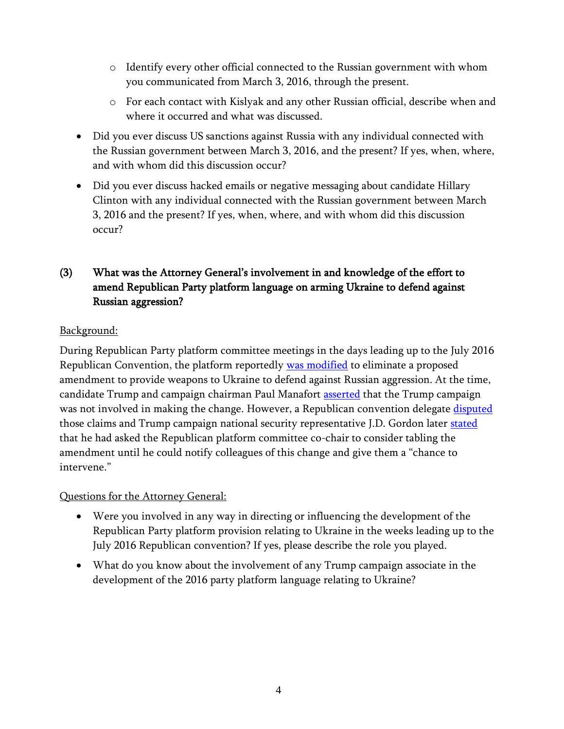- o Identify every other official connected to the Russian government with whom you communicated from March 3, 2016, through the present.
- o For each contact with Kislyak and any other Russian official, describe when and where it occurred and what was discussed.
- Did you ever discuss US sanctions against Russia with any individual connected with the Russian government between March 3, 2016, and the present? If yes, when, where, and with whom did this discussion occur?
- Did you ever discuss hacked emails or negative messaging about candidate Hillary Clinton with any individual connected with the Russian government between March 3, 2016 and the present? If yes, when, where, and with whom did this discussion occur?

# (3) What was the Attorney General's involvement in and knowledge of the effort to amend Republican Party platform language on arming Ukraine to defend against Russian aggression?

## Background:

During Republican Party platform committee meetings in the days leading up to the July 2016 Republican Convention, the platform reportedly [was modified](https://www.washingtonpost.com/opinions/global-opinions/trump-campaign-guts-gops-anti-russia-stance-on-ukraine/2016/07/18/98adb3b0-4cf3-11e6-a7d8-13d06b37f256_story.html?utm_term=.39da92a985e3) to eliminate a proposed amendment to provide weapons to Ukraine to defend against Russian aggression. At the time, candidate Trump and campaign chairman Paul Manafort [asserted](https://www.nbcnews.com/meet-the-press/trump-chairman-denies-any-role-platform-change-ukraine-n620511) that the Trump campaign was not involved in making the change. However, a Republican convention delegate [disputed](http://www.politico.com/story/2017/11/08/republicans-russia-platform-fight-244672) those claims and Trump campaign national security representative J.D. Gordon later [stated](http://www.businessinsider.com/trump-russia-campaign-platform-rnc-jd-gordon-2017-9) that he had asked the Republican platform committee co-chair to consider tabling the amendment until he could notify colleagues of this change and give them a "chance to intervene."

- Were you involved in any way in directing or influencing the development of the Republican Party platform provision relating to Ukraine in the weeks leading up to the July 2016 Republican convention? If yes, please describe the role you played.
- What do you know about the involvement of any Trump campaign associate in the development of the 2016 party platform language relating to Ukraine?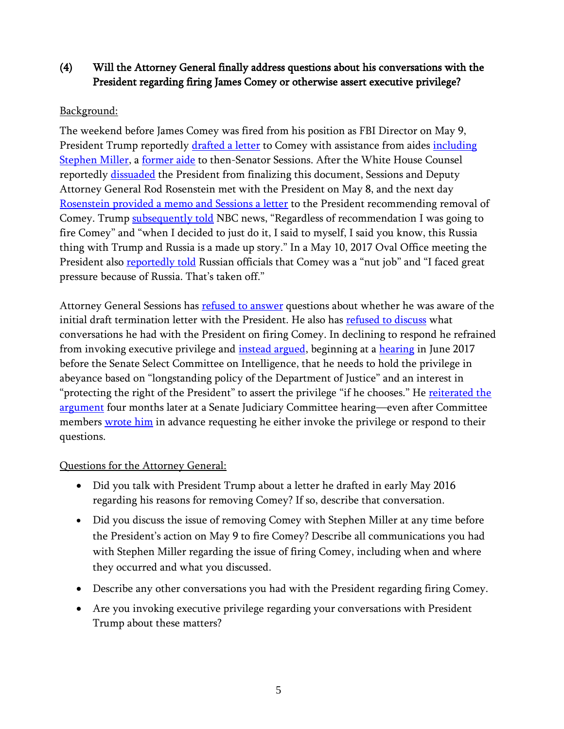# (4) Will the Attorney General finally address questions about his conversations with the President regarding firing James Comey or otherwise assert executive privilege?

### Background:

The weekend before James Comey was fired from his position as FBI Director on May 9, President Trump reportedly [drafted a letter](https://www.nytimes.com/2017/09/01/us/politics/trump-comey-firing-letter.html) to Comey with assistance from aides <u>including</u> [Stephen](http://www.businessinsider.com/stephen-miller-comey-letter-trump-draft-2017-9) Miller, a [former aide](https://www.politico.com/magazine/politico50/2016/jeff-sessions-stephen-miller) to then-Senator Sessions. After the White House Counsel reportedly [dissuaded](https://www.nytimes.com/2017/09/01/us/politics/trump-comey-firing-letter.html) the President from finalizing this document, Sessions and Deputy Attorney General Rod Rosenstein met with the President on May 8, and the next day [Rosenstein provided a memo and Sessions a letter](https://www.washingtonpost.com/documents/politics/fbi-director-james-b-comeys-termination-letters-from-the-white-house-attorney-general/2430/) to the President recommending removal of Comey. Trump [subsequently told](https://www.nbcnews.com/nightly-news/video/i-was-going-to-fire-comey-anyway-trump-tells-lester-holt-in-interview-941538371971/) NBC news, "Regardless of recommendation I was going to fire Comey" and "when I decided to just do it, I said to myself, I said you know, this Russia thing with Trump and Russia is a made up story." In a May 10, 2017 Oval Office meeting the President also **reportedly told** Russian officials that Comey was a "nut job" and "I faced great pressure because of Russia. That's taken off."

Attorney General Sessions has **refused to answer** questions about whether he was aware of the initial draft termination letter with the President. He also has [refused to discuss](https://www.nytimes.com/2017/10/18/us/politics/sessions-senate-judiciary-committee-hearing.html) what conversations he had with the President on firing Comey. In declining to respond he refrained from invoking executive privilege and *instead argued*, beginning at a [hearing](https://www.politico.com/story/2017/06/13/full-text-jeff-session-trump-russia-testimony-239503) in June 2017 before the Senate Select Committee on Intelligence, that he needs to hold the privilege in abeyance based on "longstanding policy of the Department of Justice" and an interest in "protecting the right of the President" to assert the privilege "if he chooses." He reiterated the [argument](https://www.nytimes.com/2017/10/18/us/politics/sessions-senate-judiciary-committee-hearing.html) four months later at a Senate Judiciary Committee hearing—even after Committee members [wrote him](https://www.whitehouse.senate.gov/imo/media/doc/171011_letter%20to%20sessions%20re%20EP%20assertions_signed.pdf) in advance requesting he either invoke the privilege or respond to their questions.

- Did you talk with President Trump about a letter he drafted in early May 2016 regarding his reasons for removing Comey? If so, describe that conversation.
- Did you discuss the issue of removing Comey with Stephen Miller at any time before the President's action on May 9 to fire Comey? Describe all communications you had with Stephen Miller regarding the issue of firing Comey, including when and where they occurred and what you discussed.
- Describe any other conversations you had with the President regarding firing Comey.
- Are you invoking executive privilege regarding your conversations with President Trump about these matters?